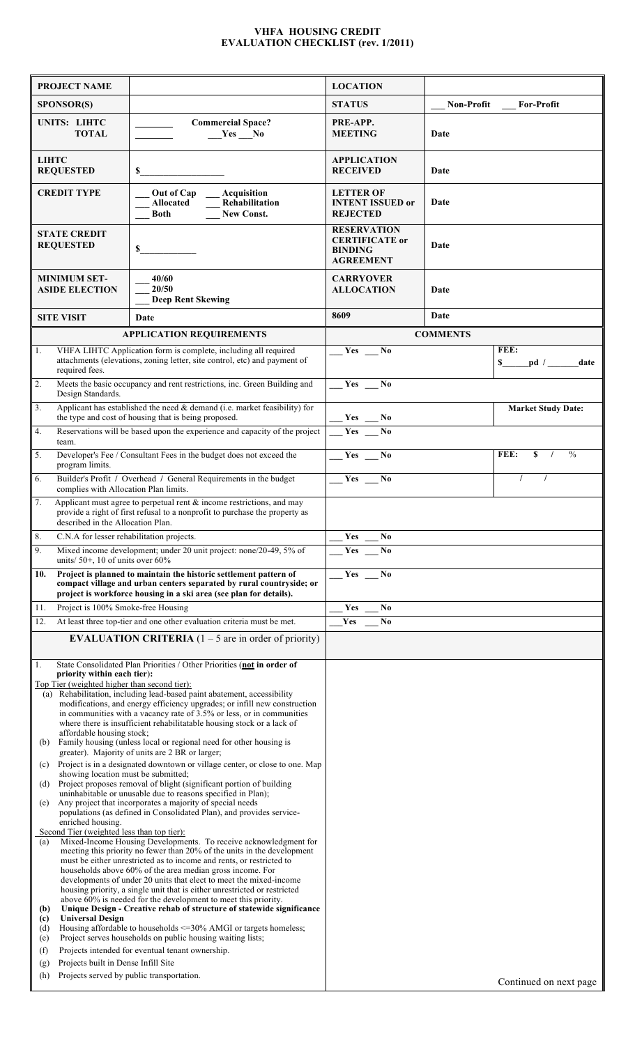## **VHFA HOUSING CREDIT EVALUATION CHECKLIST (rev. 1/2011)**

|                                                                                                                    | <b>PROJECT NAME</b>                                                                                                                                                                                                                                                  |                                                                                                                                                                                                                                                                                                                                                                                                                                                                                                                                                                                                                                                                  | <b>LOCATION</b>                       |                   |                                         |
|--------------------------------------------------------------------------------------------------------------------|----------------------------------------------------------------------------------------------------------------------------------------------------------------------------------------------------------------------------------------------------------------------|------------------------------------------------------------------------------------------------------------------------------------------------------------------------------------------------------------------------------------------------------------------------------------------------------------------------------------------------------------------------------------------------------------------------------------------------------------------------------------------------------------------------------------------------------------------------------------------------------------------------------------------------------------------|---------------------------------------|-------------------|-----------------------------------------|
|                                                                                                                    | <b>SPONSOR(S)</b>                                                                                                                                                                                                                                                    |                                                                                                                                                                                                                                                                                                                                                                                                                                                                                                                                                                                                                                                                  | <b>STATUS</b>                         | <b>Non-Profit</b> | <b>For-Profit</b>                       |
|                                                                                                                    | UNITS: LIHTC<br><b>TOTAL</b>                                                                                                                                                                                                                                         | <b>Commercial Space?</b><br>$Yes$ No                                                                                                                                                                                                                                                                                                                                                                                                                                                                                                                                                                                                                             | PRE-APP.<br><b>MEETING</b>            | Date              |                                         |
| <b>LIHTC</b><br><b>REQUESTED</b><br>\$                                                                             |                                                                                                                                                                                                                                                                      | <b>APPLICATION</b><br><b>RECEIVED</b>                                                                                                                                                                                                                                                                                                                                                                                                                                                                                                                                                                                                                            | Date                                  |                   |                                         |
| Out of Cap<br>Acquisition<br><b>CREDIT TYPE</b><br>Rehabilitation<br>Allocated<br><b>Both</b><br><b>New Const.</b> |                                                                                                                                                                                                                                                                      | <b>LETTER OF</b><br><b>INTENT ISSUED or</b><br><b>REJECTED</b>                                                                                                                                                                                                                                                                                                                                                                                                                                                                                                                                                                                                   | Date                                  |                   |                                         |
| <b>STATE CREDIT</b><br><b>REQUESTED</b><br>$\mathbf S$                                                             |                                                                                                                                                                                                                                                                      | <b>RESERVATION</b><br><b>CERTIFICATE</b> or<br><b>BINDING</b><br><b>AGREEMENT</b>                                                                                                                                                                                                                                                                                                                                                                                                                                                                                                                                                                                | Date                                  |                   |                                         |
|                                                                                                                    | <b>MINIMUM SET-</b><br><b>ASIDE ELECTION</b>                                                                                                                                                                                                                         | 40/60<br>20/50<br><b>Deep Rent Skewing</b>                                                                                                                                                                                                                                                                                                                                                                                                                                                                                                                                                                                                                       | <b>CARRYOVER</b><br><b>ALLOCATION</b> | Date              |                                         |
|                                                                                                                    | <b>SITE VISIT</b>                                                                                                                                                                                                                                                    | Date                                                                                                                                                                                                                                                                                                                                                                                                                                                                                                                                                                                                                                                             | 8609                                  | Date              |                                         |
|                                                                                                                    |                                                                                                                                                                                                                                                                      | <b>APPLICATION REQUIREMENTS</b>                                                                                                                                                                                                                                                                                                                                                                                                                                                                                                                                                                                                                                  | <b>COMMENTS</b>                       |                   |                                         |
| $\overline{\Pi}$ .                                                                                                 | VHFA LIHTC Application form is complete, including all required<br>attachments (elevations, zoning letter, site control, etc) and payment of<br>required fees.                                                                                                       |                                                                                                                                                                                                                                                                                                                                                                                                                                                                                                                                                                                                                                                                  | Yes<br>N <sub>0</sub>                 |                   | FEE:<br>pd / ______date<br>$\mathbf{s}$ |
| 2.                                                                                                                 | Design Standards.                                                                                                                                                                                                                                                    | Meets the basic occupancy and rent restrictions, inc. Green Building and                                                                                                                                                                                                                                                                                                                                                                                                                                                                                                                                                                                         | $Yes \_ No$                           |                   |                                         |
| $\overline{3}$ .                                                                                                   |                                                                                                                                                                                                                                                                      | Applicant has established the need $\&$ demand (i.e. market feasibility) for<br>the type and cost of housing that is being proposed.                                                                                                                                                                                                                                                                                                                                                                                                                                                                                                                             | $Yes$ No                              |                   | <b>Market Study Date:</b>               |
| 4.                                                                                                                 |                                                                                                                                                                                                                                                                      | Reservations will be based upon the experience and capacity of the project                                                                                                                                                                                                                                                                                                                                                                                                                                                                                                                                                                                       | Yes                                   |                   |                                         |
| 5.                                                                                                                 | team.<br>Developer's Fee <i>(Consultant Fees in the budget does not exceed the</i><br>program limits.                                                                                                                                                                |                                                                                                                                                                                                                                                                                                                                                                                                                                                                                                                                                                                                                                                                  | $Yes$ No                              |                   | FEE:<br>$\frac{0}{0}$<br>S              |
| 6.                                                                                                                 | Builder's Profit / Overhead / General Requirements in the budget<br>complies with Allocation Plan limits.                                                                                                                                                            |                                                                                                                                                                                                                                                                                                                                                                                                                                                                                                                                                                                                                                                                  | $\frac{1}{2}$ Yes $\frac{1}{2}$ No    |                   |                                         |
| 7.                                                                                                                 | Applicant must agree to perpetual rent $\&$ income restrictions, and may<br>provide a right of first refusal to a nonprofit to purchase the property as<br>described in the Allocation Plan.                                                                         |                                                                                                                                                                                                                                                                                                                                                                                                                                                                                                                                                                                                                                                                  |                                       |                   |                                         |
| 8.                                                                                                                 | C.N.A for lesser rehabilitation projects.                                                                                                                                                                                                                            |                                                                                                                                                                                                                                                                                                                                                                                                                                                                                                                                                                                                                                                                  | Yes<br>N0                             |                   |                                         |
| 9.                                                                                                                 | units/50+, 10 of units over $60\%$                                                                                                                                                                                                                                   | Mixed income development; under 20 unit project: none/20-49, 5% of                                                                                                                                                                                                                                                                                                                                                                                                                                                                                                                                                                                               | Yes<br>N <sub>0</sub>                 |                   |                                         |
| 10.                                                                                                                | Project is planned to maintain the historic settlement pattern of<br>compact village and urban centers separated by rural countryside; or<br>project is workforce housing in a ski area (see plan for details).                                                      |                                                                                                                                                                                                                                                                                                                                                                                                                                                                                                                                                                                                                                                                  | Yes<br>N <sub>0</sub>                 |                   |                                         |
| 11.                                                                                                                | Project is 100% Smoke-free Housing                                                                                                                                                                                                                                   |                                                                                                                                                                                                                                                                                                                                                                                                                                                                                                                                                                                                                                                                  | Yes<br>N <sub>0</sub>                 |                   |                                         |
| 12.                                                                                                                |                                                                                                                                                                                                                                                                      | At least three top-tier and one other evaluation criteria must be met.                                                                                                                                                                                                                                                                                                                                                                                                                                                                                                                                                                                           | Yes<br>N <sub>0</sub>                 |                   |                                         |
|                                                                                                                    |                                                                                                                                                                                                                                                                      | <b>EVALUATION CRITERIA</b> $(1 – 5$ are in order of priority)                                                                                                                                                                                                                                                                                                                                                                                                                                                                                                                                                                                                    |                                       |                   |                                         |
| 1.<br>(b)<br>(c)<br>(d)                                                                                            | priority within each tier):<br>Top Tier (weighted higher than second tier):<br>affordable housing stock;<br>showing location must be submitted;                                                                                                                      | State Consolidated Plan Priorities / Other Priorities (not in order of<br>(a) Rehabilitation, including lead-based paint abatement, accessibility<br>modifications, and energy efficiency upgrades; or infill new construction<br>in communities with a vacancy rate of 3.5% or less, or in communities<br>where there is insufficient rehabilitatable housing stock or a lack of<br>Family housing (unless local or regional need for other housing is<br>greater). Majority of units are 2 BR or larger;<br>Project is in a designated downtown or village center, or close to one. Map<br>Project proposes removal of blight (significant portion of building |                                       |                   |                                         |
| (e)                                                                                                                | uninhabitable or unusable due to reasons specified in Plan);<br>Any project that incorporates a majority of special needs<br>populations (as defined in Consolidated Plan), and provides service-<br>enriched housing.<br>Second Tier (weighted less than top tier): |                                                                                                                                                                                                                                                                                                                                                                                                                                                                                                                                                                                                                                                                  |                                       |                   |                                         |
| (a)<br>(b)                                                                                                         |                                                                                                                                                                                                                                                                      | Mixed-Income Housing Developments. To receive acknowledgment for<br>meeting this priority no fewer than 20% of the units in the development<br>must be either unrestricted as to income and rents, or restricted to<br>households above 60% of the area median gross income. For<br>developments of under 20 units that elect to meet the mixed-income<br>housing priority, a single unit that is either unrestricted or restricted<br>above 60% is needed for the development to meet this priority.<br>Unique Design - Creative rehab of structure of statewide significance                                                                                   |                                       |                   |                                         |
| (c)<br>(d)<br>(e)                                                                                                  | <b>Universal Design</b>                                                                                                                                                                                                                                              | Housing affordable to households <= 30% AMGI or targets homeless;<br>Project serves households on public housing waiting lists;                                                                                                                                                                                                                                                                                                                                                                                                                                                                                                                                  |                                       |                   |                                         |
| (f)                                                                                                                |                                                                                                                                                                                                                                                                      | Projects intended for eventual tenant ownership.                                                                                                                                                                                                                                                                                                                                                                                                                                                                                                                                                                                                                 |                                       |                   |                                         |
| (g)<br>(h)                                                                                                         | Projects built in Dense Infill Site                                                                                                                                                                                                                                  | Projects served by public transportation.                                                                                                                                                                                                                                                                                                                                                                                                                                                                                                                                                                                                                        |                                       |                   | Continued on next page                  |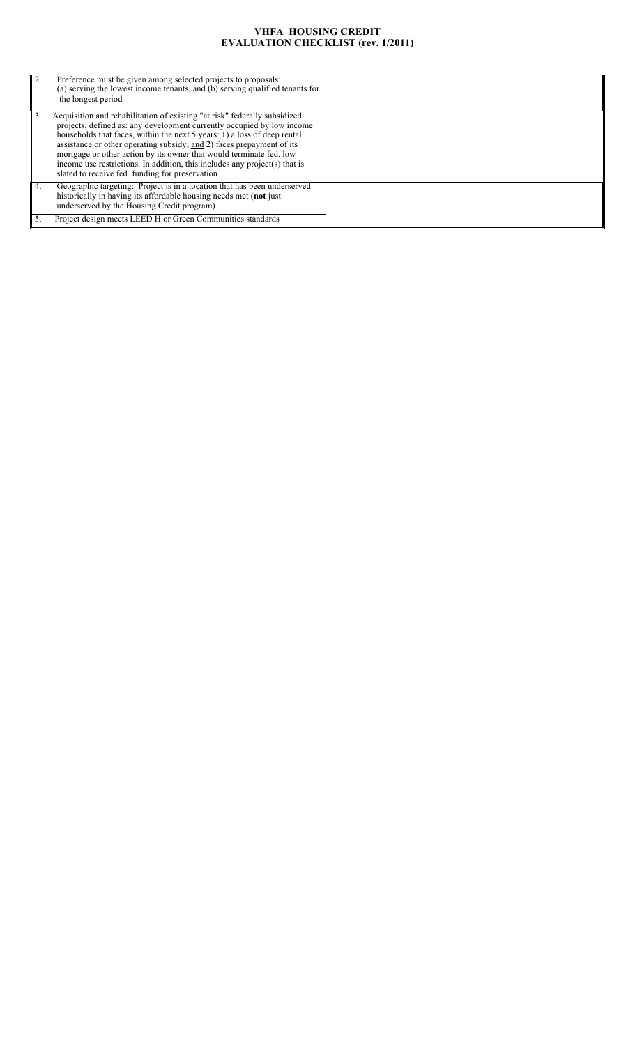## **VHFA HOUSING CREDIT EVALUATION CHECKLIST (rev. 1/2011)**

| 2. | Preference must be given among selected projects to proposals:<br>(a) serving the lowest income tenants, and (b) serving qualified tenants for<br>the longest period                                                                                                                                                                                                                                                                                                                                              |  |
|----|-------------------------------------------------------------------------------------------------------------------------------------------------------------------------------------------------------------------------------------------------------------------------------------------------------------------------------------------------------------------------------------------------------------------------------------------------------------------------------------------------------------------|--|
| 3. | Acquisition and rehabilitation of existing "at risk" federally subsidized<br>projects, defined as: any development currently occupied by low income<br>households that faces, within the next 5 years: 1) a loss of deep rental<br>assistance or other operating subsidy; and 2) faces prepayment of its<br>mortgage or other action by its owner that would terminate fed. low<br>income use restrictions. In addition, this includes any project(s) that is<br>slated to receive fed. funding for preservation. |  |
|    | Geographic targeting: Project is in a location that has been underserved<br>historically in having its affordable housing needs met (not just<br>underserved by the Housing Credit program).<br>Project design meets LEED H or Green Communities standards                                                                                                                                                                                                                                                        |  |